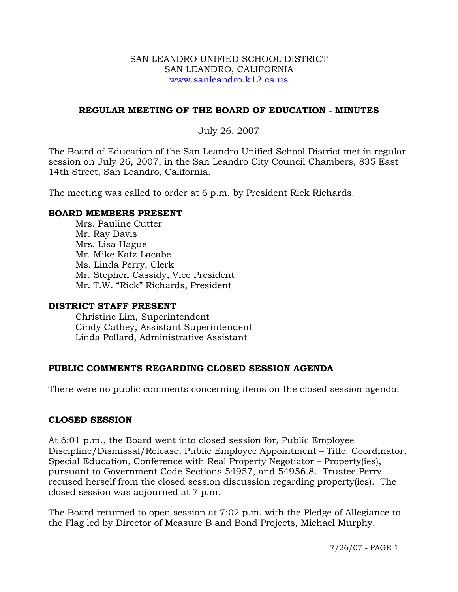#### SAN LEANDRO UNIFIED SCHOOL DISTRICT SAN LEANDRO, CALIFORNIA www.sanleandro.k12.ca.us

#### **REGULAR MEETING OF THE BOARD OF EDUCATION - MINUTES**

#### July 26, 2007

The Board of Education of the San Leandro Unified School District met in regular session on July 26, 2007, in the San Leandro City Council Chambers, 835 East 14th Street, San Leandro, California.

The meeting was called to order at 6 p.m. by President Rick Richards.

#### **BOARD MEMBERS PRESENT**

Mrs. Pauline Cutter Mr. Ray Davis Mrs. Lisa Hague Mr. Mike Katz-Lacabe Ms. Linda Perry, Clerk Mr. Stephen Cassidy, Vice President Mr. T.W. "Rick" Richards, President

#### **DISTRICT STAFF PRESENT**

Christine Lim, Superintendent Cindy Cathey, Assistant Superintendent Linda Pollard, Administrative Assistant

# **PUBLIC COMMENTS REGARDING CLOSED SESSION AGENDA**

There were no public comments concerning items on the closed session agenda.

#### **CLOSED SESSION**

At 6:01 p.m., the Board went into closed session for, Public Employee Discipline/Dismissal/Release, Public Employee Appointment – Title: Coordinator, Special Education, Conference with Real Property Negotiator – Property(ies), pursuant to Government Code Sections 54957, and 54956.8. Trustee Perry recused herself from the closed session discussion regarding property(ies). The closed session was adjourned at 7 p.m.

The Board returned to open session at 7:02 p.m. with the Pledge of Allegiance to the Flag led by Director of Measure B and Bond Projects, Michael Murphy.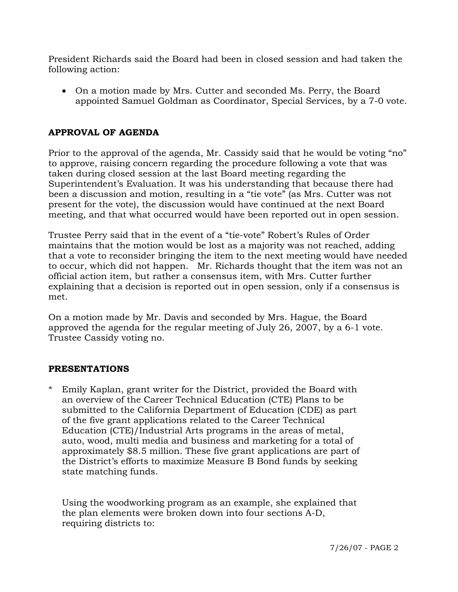President Richards said the Board had been in closed session and had taken the following action:

• On a motion made by Mrs. Cutter and seconded Ms. Perry, the Board appointed Samuel Goldman as Coordinator, Special Services, by a 7-0 vote.

# **APPROVAL OF AGENDA**

Prior to the approval of the agenda, Mr. Cassidy said that he would be voting "no" to approve, raising concern regarding the procedure following a vote that was taken during closed session at the last Board meeting regarding the Superintendent's Evaluation. It was his understanding that because there had been a discussion and motion, resulting in a "tie vote" (as Mrs. Cutter was not present for the vote), the discussion would have continued at the next Board meeting, and that what occurred would have been reported out in open session.

Trustee Perry said that in the event of a "tie-vote" Robert's Rules of Order maintains that the motion would be lost as a majority was not reached, adding that a vote to reconsider bringing the item to the next meeting would have needed to occur, which did not happen. Mr. Richards thought that the item was not an official action item, but rather a consensus item, with Mrs. Cutter further explaining that a decision is reported out in open session, only if a consensus is met.

On a motion made by Mr. Davis and seconded by Mrs. Hague, the Board approved the agenda for the regular meeting of July 26, 2007, by a 6-1 vote. Trustee Cassidy voting no.

#### **PRESENTATIONS**

Emily Kaplan, grant writer for the District, provided the Board with an overview of the Career Technical Education (CTE) Plans to be submitted to the California Department of Education (CDE) as part of the five grant applications related to the Career Technical Education (CTE)/Industrial Arts programs in the areas of metal, auto, wood, multi media and business and marketing for a total of approximately \$8.5 million. These five grant applications are part of the District's efforts to maximize Measure B Bond funds by seeking state matching funds.

 Using the woodworking program as an example, she explained that the plan elements were broken down into four sections A-D, requiring districts to: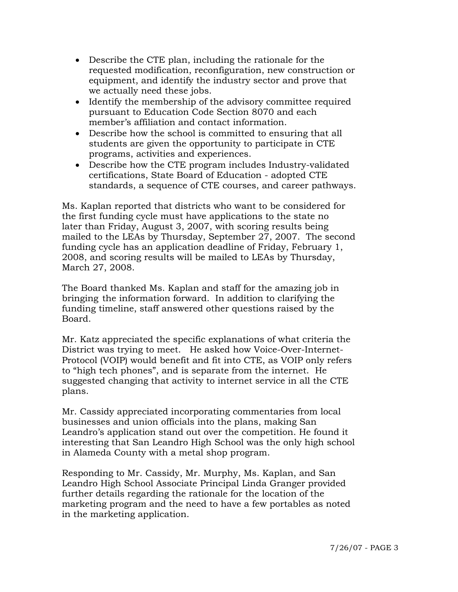- Describe the CTE plan, including the rationale for the requested modification, reconfiguration, new construction or equipment, and identify the industry sector and prove that we actually need these jobs.
- Identify the membership of the advisory committee required pursuant to Education Code Section 8070 and each member's affiliation and contact information.
- Describe how the school is committed to ensuring that all students are given the opportunity to participate in CTE programs, activities and experiences.
- Describe how the CTE program includes Industry-validated certifications, State Board of Education - adopted CTE standards, a sequence of CTE courses, and career pathways.

 Ms. Kaplan reported that districts who want to be considered for the first funding cycle must have applications to the state no later than Friday, August 3, 2007, with scoring results being mailed to the LEAs by Thursday, September 27, 2007. The second funding cycle has an application deadline of Friday, February 1, 2008, and scoring results will be mailed to LEAs by Thursday, March 27, 2008.

 The Board thanked Ms. Kaplan and staff for the amazing job in bringing the information forward. In addition to clarifying the funding timeline, staff answered other questions raised by the Board.

Mr. Katz appreciated the specific explanations of what criteria the District was trying to meet. He asked how Voice-Over-Internet-Protocol (VOIP) would benefit and fit into CTE, as VOIP only refers to "high tech phones", and is separate from the internet. He suggested changing that activity to internet service in all the CTE plans.

Mr. Cassidy appreciated incorporating commentaries from local businesses and union officials into the plans, making San Leandro's application stand out over the competition. He found it interesting that San Leandro High School was the only high school in Alameda County with a metal shop program.

Responding to Mr. Cassidy, Mr. Murphy, Ms. Kaplan, and San Leandro High School Associate Principal Linda Granger provided further details regarding the rationale for the location of the marketing program and the need to have a few portables as noted in the marketing application.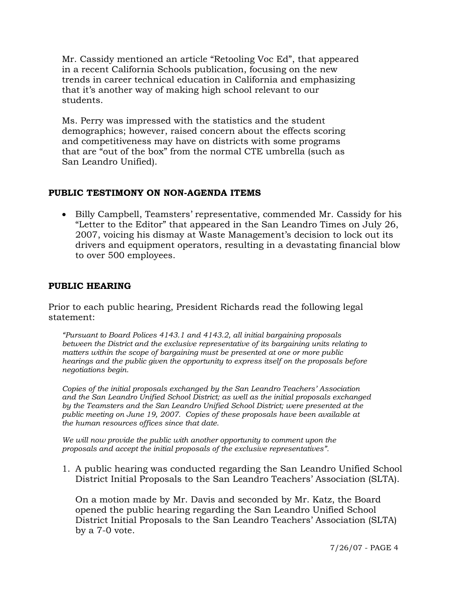Mr. Cassidy mentioned an article "Retooling Voc Ed", that appeared in a recent California Schools publication, focusing on the new trends in career technical education in California and emphasizing that it's another way of making high school relevant to our students.

Ms. Perry was impressed with the statistics and the student demographics; however, raised concern about the effects scoring and competitiveness may have on districts with some programs that are "out of the box" from the normal CTE umbrella (such as San Leandro Unified).

# **PUBLIC TESTIMONY ON NON-AGENDA ITEMS**

• Billy Campbell, Teamsters' representative, commended Mr. Cassidy for his "Letter to the Editor" that appeared in the San Leandro Times on July 26, 2007, voicing his dismay at Waste Management's decision to lock out its drivers and equipment operators, resulting in a devastating financial blow to over 500 employees.

# **PUBLIC HEARING**

Prior to each public hearing, President Richards read the following legal statement:

*"Pursuant to Board Polices 4143.1 and 4143.2, all initial bargaining proposals between the District and the exclusive representative of its bargaining units relating to matters within the scope of bargaining must be presented at one or more public hearings and the public given the opportunity to express itself on the proposals before negotiations begin.*

*Copies of the initial proposals exchanged by the San Leandro Teachers' Association and the San Leandro Unified School District; as well as the initial proposals exchanged by the Teamsters and the San Leandro Unified School District; were presented at the public meeting on June 19, 2007. Copies of these proposals have been available at the human resources offices since that date.* 

*We will now provide the public with another opportunity to comment upon the proposals and accept the initial proposals of the exclusive representatives".* 

1. A public hearing was conducted regarding the San Leandro Unified School District Initial Proposals to the San Leandro Teachers' Association (SLTA).

 On a motion made by Mr. Davis and seconded by Mr. Katz, the Board opened the public hearing regarding the San Leandro Unified School District Initial Proposals to the San Leandro Teachers' Association (SLTA) by a 7-0 vote.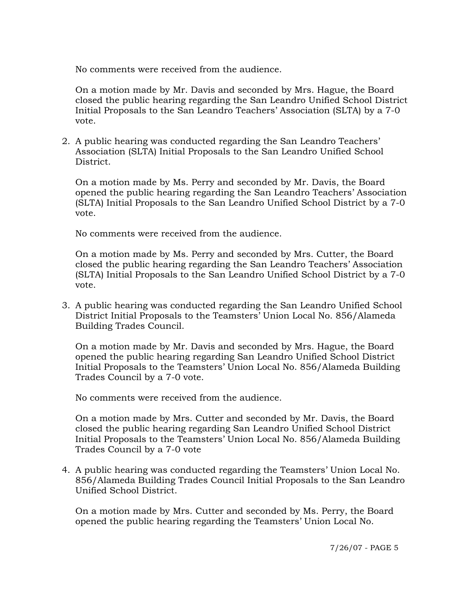No comments were received from the audience.

 On a motion made by Mr. Davis and seconded by Mrs. Hague, the Board closed the public hearing regarding the San Leandro Unified School District Initial Proposals to the San Leandro Teachers' Association (SLTA) by a 7-0 vote.

2. A public hearing was conducted regarding the San Leandro Teachers' Association (SLTA) Initial Proposals to the San Leandro Unified School District.

 On a motion made by Ms. Perry and seconded by Mr. Davis, the Board opened the public hearing regarding the San Leandro Teachers' Association (SLTA) Initial Proposals to the San Leandro Unified School District by a 7-0 vote.

No comments were received from the audience.

 On a motion made by Ms. Perry and seconded by Mrs. Cutter, the Board closed the public hearing regarding the San Leandro Teachers' Association (SLTA) Initial Proposals to the San Leandro Unified School District by a 7-0 vote.

3. A public hearing was conducted regarding the San Leandro Unified School District Initial Proposals to the Teamsters' Union Local No. 856/Alameda Building Trades Council.

 On a motion made by Mr. Davis and seconded by Mrs. Hague, the Board opened the public hearing regarding San Leandro Unified School District Initial Proposals to the Teamsters' Union Local No. 856/Alameda Building Trades Council by a 7-0 vote.

No comments were received from the audience.

 On a motion made by Mrs. Cutter and seconded by Mr. Davis, the Board closed the public hearing regarding San Leandro Unified School District Initial Proposals to the Teamsters' Union Local No. 856/Alameda Building Trades Council by a 7-0 vote

4. A public hearing was conducted regarding the Teamsters' Union Local No. 856/Alameda Building Trades Council Initial Proposals to the San Leandro Unified School District.

 On a motion made by Mrs. Cutter and seconded by Ms. Perry, the Board opened the public hearing regarding the Teamsters' Union Local No.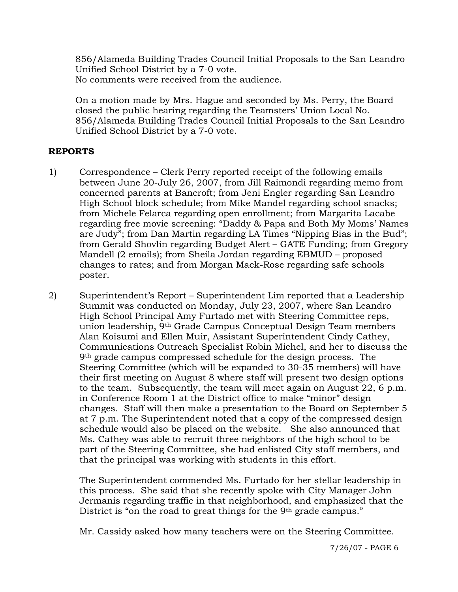856/Alameda Building Trades Council Initial Proposals to the San Leandro Unified School District by a 7-0 vote. No comments were received from the audience.

 On a motion made by Mrs. Hague and seconded by Ms. Perry, the Board closed the public hearing regarding the Teamsters' Union Local No. 856/Alameda Building Trades Council Initial Proposals to the San Leandro Unified School District by a 7-0 vote.

# **REPORTS**

1) Correspondence – Clerk Perry reported receipt of the following emails between June 20-July 26, 2007, from Jill Raimondi regarding memo from concerned parents at Bancroft; from Jeni Engler regarding San Leandro High School block schedule; from Mike Mandel regarding school snacks; from Michele Felarca regarding open enrollment; from Margarita Lacabe regarding free movie screening: "Daddy & Papa and Both My Moms' Names are Judy"; from Dan Martin regarding LA Times "Nipping Bias in the Bud"; from Gerald Shovlin regarding Budget Alert – GATE Funding; from Gregory Mandell (2 emails); from Sheila Jordan regarding EBMUD – proposed changes to rates; and from Morgan Mack-Rose regarding safe schools poster.

2) Superintendent's Report – Superintendent Lim reported that a Leadership Summit was conducted on Monday, July 23, 2007, where San Leandro High School Principal Amy Furtado met with Steering Committee reps, union leadership, 9th Grade Campus Conceptual Design Team members Alan Koisumi and Ellen Muir, Assistant Superintendent Cindy Cathey, Communications Outreach Specialist Robin Michel, and her to discuss the 9th grade campus compressed schedule for the design process. The Steering Committee (which will be expanded to 30-35 members) will have their first meeting on August 8 where staff will present two design options to the team. Subsequently, the team will meet again on August 22, 6 p.m. in Conference Room 1 at the District office to make "minor" design changes. Staff will then make a presentation to the Board on September 5 at 7 p.m. The Superintendent noted that a copy of the compressed design schedule would also be placed on the website. She also announced that Ms. Cathey was able to recruit three neighbors of the high school to be part of the Steering Committee, she had enlisted City staff members, and that the principal was working with students in this effort.

The Superintendent commended Ms. Furtado for her stellar leadership in this process. She said that she recently spoke with City Manager John Jermanis regarding traffic in that neighborhood, and emphasized that the District is "on the road to great things for the 9<sup>th</sup> grade campus."

Mr. Cassidy asked how many teachers were on the Steering Committee.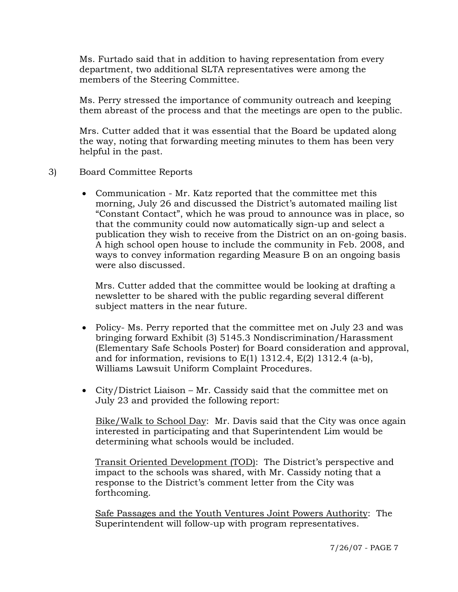Ms. Furtado said that in addition to having representation from every department, two additional SLTA representatives were among the members of the Steering Committee.

Ms. Perry stressed the importance of community outreach and keeping them abreast of the process and that the meetings are open to the public.

Mrs. Cutter added that it was essential that the Board be updated along the way, noting that forwarding meeting minutes to them has been very helpful in the past.

- 3) Board Committee Reports
	- Communication Mr. Katz reported that the committee met this morning, July 26 and discussed the District's automated mailing list "Constant Contact", which he was proud to announce was in place, so that the community could now automatically sign-up and select a publication they wish to receive from the District on an on-going basis. A high school open house to include the community in Feb. 2008, and ways to convey information regarding Measure B on an ongoing basis were also discussed.

 Mrs. Cutter added that the committee would be looking at drafting a newsletter to be shared with the public regarding several different subject matters in the near future.

- Policy- Ms. Perry reported that the committee met on July 23 and was bringing forward Exhibit (3) 5145.3 Nondiscrimination/Harassment (Elementary Safe Schools Poster) for Board consideration and approval, and for information, revisions to  $E(1)$  1312.4,  $E(2)$  1312.4 (a-b), Williams Lawsuit Uniform Complaint Procedures.
- City/District Liaison Mr. Cassidy said that the committee met on July 23 and provided the following report:

 Bike/Walk to School Day: Mr. Davis said that the City was once again interested in participating and that Superintendent Lim would be determining what schools would be included.

 Transit Oriented Development (TOD): The District's perspective and impact to the schools was shared, with Mr. Cassidy noting that a response to the District's comment letter from the City was forthcoming.

 Safe Passages and the Youth Ventures Joint Powers Authority: The Superintendent will follow-up with program representatives.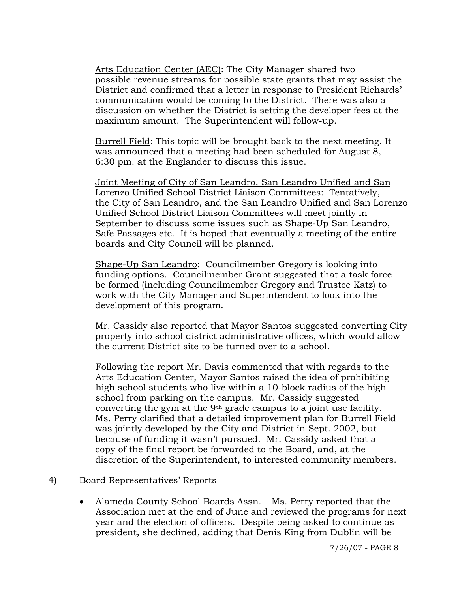Arts Education Center (AEC): The City Manager shared two possible revenue streams for possible state grants that may assist the District and confirmed that a letter in response to President Richards' communication would be coming to the District. There was also a discussion on whether the District is setting the developer fees at the maximum amount. The Superintendent will follow-up.

 Burrell Field: This topic will be brought back to the next meeting. It was announced that a meeting had been scheduled for August 8, 6:30 pm. at the Englander to discuss this issue.

 Joint Meeting of City of San Leandro, San Leandro Unified and San Lorenzo Unified School District Liaison Committees: Tentatively, the City of San Leandro, and the San Leandro Unified and San Lorenzo Unified School District Liaison Committees will meet jointly in September to discuss some issues such as Shape-Up San Leandro, Safe Passages etc. It is hoped that eventually a meeting of the entire boards and City Council will be planned.

 Shape-Up San Leandro: Councilmember Gregory is looking into funding options. Councilmember Grant suggested that a task force be formed (including Councilmember Gregory and Trustee Katz) to work with the City Manager and Superintendent to look into the development of this program.

 Mr. Cassidy also reported that Mayor Santos suggested converting City property into school district administrative offices, which would allow the current District site to be turned over to a school.

 Following the report Mr. Davis commented that with regards to the Arts Education Center, Mayor Santos raised the idea of prohibiting high school students who live within a 10-block radius of the high school from parking on the campus. Mr. Cassidy suggested converting the gym at the  $9<sup>th</sup>$  grade campus to a joint use facility. Ms. Perry clarified that a detailed improvement plan for Burrell Field was jointly developed by the City and District in Sept. 2002, but because of funding it wasn't pursued. Mr. Cassidy asked that a copy of the final report be forwarded to the Board, and, at the discretion of the Superintendent, to interested community members.

#### 4) Board Representatives' Reports

• Alameda County School Boards Assn. – Ms. Perry reported that the Association met at the end of June and reviewed the programs for next year and the election of officers. Despite being asked to continue as president, she declined, adding that Denis King from Dublin will be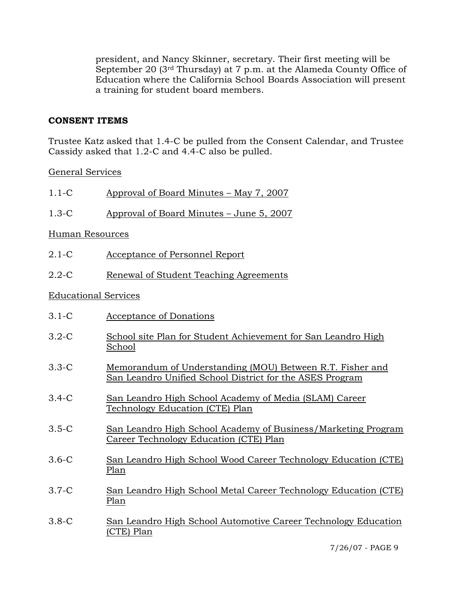president, and Nancy Skinner, secretary. Their first meeting will be September 20 (3<sup>rd</sup> Thursday) at 7 p.m. at the Alameda County Office of Education where the California School Boards Association will present a training for student board members.

# **CONSENT ITEMS**

Trustee Katz asked that 1.4-C be pulled from the Consent Calendar, and Trustee Cassidy asked that 1.2-C and 4.4-C also be pulled.

General Services

| $1.1-C$                     | Approval of Board Minutes - May 7, 2007                                                                               |
|-----------------------------|-----------------------------------------------------------------------------------------------------------------------|
| $1.3-C$                     | Approval of Board Minutes – June 5, 2007                                                                              |
| Human Resources             |                                                                                                                       |
| $2.1-C$                     | <b>Acceptance of Personnel Report</b>                                                                                 |
| $2.2 - C$                   | Renewal of Student Teaching Agreements                                                                                |
| <b>Educational Services</b> |                                                                                                                       |
| $3.1 - C$                   | Acceptance of Donations                                                                                               |
| $3.2-C$                     | School site Plan for Student Achievement for San Leandro High<br>School                                               |
| $3.3-C$                     | Memorandum of Understanding (MOU) Between R.T. Fisher and<br>San Leandro Unified School District for the ASES Program |
| $3.4-C$                     | San Leandro High School Academy of Media (SLAM) Career<br>Technology Education (CTE) Plan                             |
| $3.5-C$                     | San Leandro High School Academy of Business/Marketing Program<br>Career Technology Education (CTE) Plan               |
| $3.6-C$                     | San Leandro High School Wood Career Technology Education (CTE)<br>Plan                                                |
| $3.7-C$                     | San Leandro High School Metal Career Technology Education (CTE)<br>Plan                                               |
| $3.8-C$                     | San Leandro High School Automotive Career Technology Education<br>(CTE) Plan                                          |

7/26/07 - PAGE 9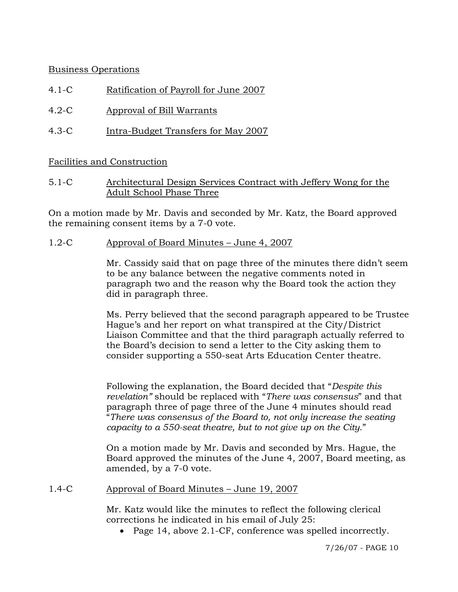# Business Operations

- 4.1-C Ratification of Payroll for June 2007
- 4.2-C Approval of Bill Warrants
- 4.3-C Intra-Budget Transfers for May 2007

Facilities and Construction

5.1-C Architectural Design Services Contract with Jeffery Wong for the Adult School Phase Three

On a motion made by Mr. Davis and seconded by Mr. Katz, the Board approved the remaining consent items by a 7-0 vote.

1.2-C Approval of Board Minutes – June 4, 2007

Mr. Cassidy said that on page three of the minutes there didn't seem to be any balance between the negative comments noted in paragraph two and the reason why the Board took the action they did in paragraph three.

Ms. Perry believed that the second paragraph appeared to be Trustee Hague's and her report on what transpired at the City/District Liaison Committee and that the third paragraph actually referred to the Board's decision to send a letter to the City asking them to consider supporting a 550-seat Arts Education Center theatre.

Following the explanation, the Board decided that "*Despite this revelation"* should be replaced with "*There was consensus*" and that paragraph three of page three of the June 4 minutes should read "*There was consensus of the Board to, not only increase the seating capacity to a 550-seat theatre, but to not give up on the City*."

On a motion made by Mr. Davis and seconded by Mrs. Hague, the Board approved the minutes of the June 4, 2007, Board meeting, as amended, by a 7-0 vote.

# 1.4-C Approval of Board Minutes – June 19, 2007

Mr. Katz would like the minutes to reflect the following clerical corrections he indicated in his email of July 25:

• Page 14, above 2.1-CF, conference was spelled incorrectly.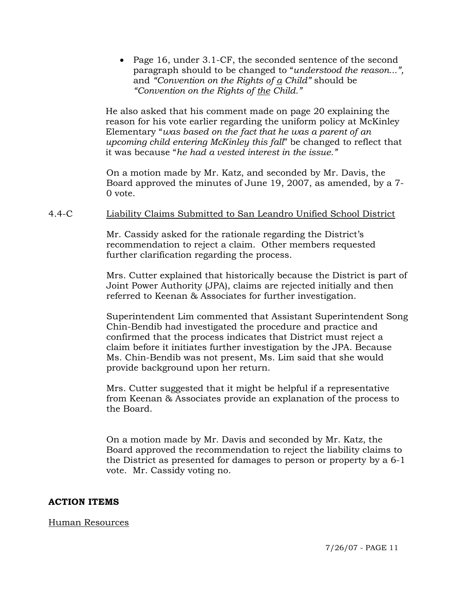• Page 16, under 3.1-CF, the seconded sentence of the second paragraph should to be changed to "*understood the reason...",*  and *"Convention on the Rights of a Child"* should be *"Convention on the Rights of the Child."*

He also asked that his comment made on page 20 explaining the reason for his vote earlier regarding the uniform policy at McKinley Elementary "*was based on the fact that he was a parent of an upcoming child entering McKinley this fall*" be changed to reflect that it was because "*he had a vested interest in the issue."*

On a motion made by Mr. Katz, and seconded by Mr. Davis, the Board approved the minutes of June 19, 2007, as amended, by a 7- 0 vote.

# 4.4-C Liability Claims Submitted to San Leandro Unified School District

Mr. Cassidy asked for the rationale regarding the District's recommendation to reject a claim. Other members requested further clarification regarding the process.

Mrs. Cutter explained that historically because the District is part of Joint Power Authority (JPA), claims are rejected initially and then referred to Keenan & Associates for further investigation.

Superintendent Lim commented that Assistant Superintendent Song Chin-Bendib had investigated the procedure and practice and confirmed that the process indicates that District must reject a claim before it initiates further investigation by the JPA. Because Ms. Chin-Bendib was not present, Ms. Lim said that she would provide background upon her return.

Mrs. Cutter suggested that it might be helpful if a representative from Keenan & Associates provide an explanation of the process to the Board.

On a motion made by Mr. Davis and seconded by Mr. Katz, the Board approved the recommendation to reject the liability claims to the District as presented for damages to person or property by a 6-1 vote. Mr. Cassidy voting no.

# **ACTION ITEMS**

# Human Resources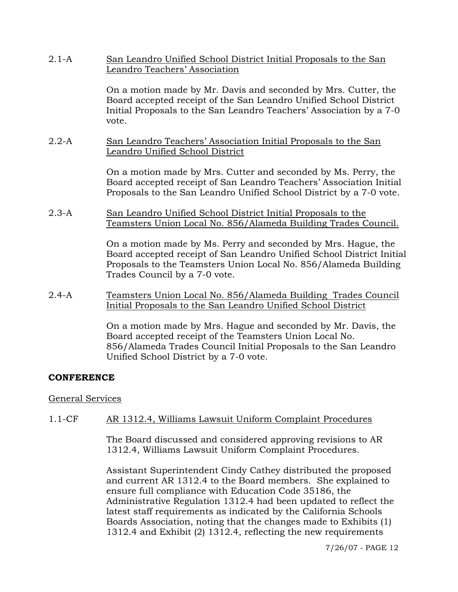2.1-A San Leandro Unified School District Initial Proposals to the San Leandro Teachers' Association

> On a motion made by Mr. Davis and seconded by Mrs. Cutter, the Board accepted receipt of the San Leandro Unified School District Initial Proposals to the San Leandro Teachers' Association by a 7-0 vote.

#### 2.2-A San Leandro Teachers' Association Initial Proposals to the San Leandro Unified School District

On a motion made by Mrs. Cutter and seconded by Ms. Perry, the Board accepted receipt of San Leandro Teachers' Association Initial Proposals to the San Leandro Unified School District by a 7-0 vote.

2.3-A San Leandro Unified School District Initial Proposals to the Teamsters Union Local No. 856/Alameda Building Trades Council.

> On a motion made by Ms. Perry and seconded by Mrs. Hague, the Board accepted receipt of San Leandro Unified School District Initial Proposals to the Teamsters Union Local No. 856/Alameda Building Trades Council by a 7-0 vote.

2.4-A Teamsters Union Local No. 856/Alameda Building Trades Council Initial Proposals to the San Leandro Unified School District

> On a motion made by Mrs. Hague and seconded by Mr. Davis, the Board accepted receipt of the Teamsters Union Local No. 856/Alameda Trades Council Initial Proposals to the San Leandro Unified School District by a 7-0 vote.

# **CONFERENCE**

#### General Services

# 1.1-CF AR 1312.4, Williams Lawsuit Uniform Complaint Procedures

The Board discussed and considered approving revisions to AR 1312.4, Williams Lawsuit Uniform Complaint Procedures.

Assistant Superintendent Cindy Cathey distributed the proposed and current AR 1312.4 to the Board members. She explained to ensure full compliance with Education Code 35186, the Administrative Regulation 1312.4 had been updated to reflect the latest staff requirements as indicated by the California Schools Boards Association, noting that the changes made to Exhibits (1) 1312.4 and Exhibit (2) 1312.4, reflecting the new requirements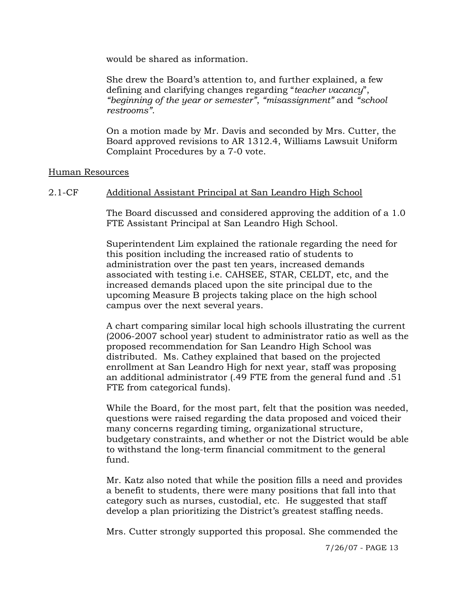would be shared as information.

She drew the Board's attention to, and further explained, a few defining and clarifying changes regarding "*teacher vacancy*", *"beginning of the year or semester"*, *"misassignment"* and *"school restrooms"*.

On a motion made by Mr. Davis and seconded by Mrs. Cutter, the Board approved revisions to AR 1312.4, Williams Lawsuit Uniform Complaint Procedures by a 7-0 vote.

#### Human Resources

# 2.1-CF Additional Assistant Principal at San Leandro High School

The Board discussed and considered approving the addition of a 1.0 FTE Assistant Principal at San Leandro High School.

Superintendent Lim explained the rationale regarding the need for this position including the increased ratio of students to administration over the past ten years, increased demands associated with testing i.e. CAHSEE, STAR, CELDT, etc, and the increased demands placed upon the site principal due to the upcoming Measure B projects taking place on the high school campus over the next several years.

A chart comparing similar local high schools illustrating the current (2006-2007 school year) student to administrator ratio as well as the proposed recommendation for San Leandro High School was distributed. Ms. Cathey explained that based on the projected enrollment at San Leandro High for next year, staff was proposing an additional administrator (.49 FTE from the general fund and .51 FTE from categorical funds).

While the Board, for the most part, felt that the position was needed, questions were raised regarding the data proposed and voiced their many concerns regarding timing, organizational structure, budgetary constraints, and whether or not the District would be able to withstand the long-term financial commitment to the general fund.

Mr. Katz also noted that while the position fills a need and provides a benefit to students, there were many positions that fall into that category such as nurses, custodial, etc. He suggested that staff develop a plan prioritizing the District's greatest staffing needs.

Mrs. Cutter strongly supported this proposal. She commended the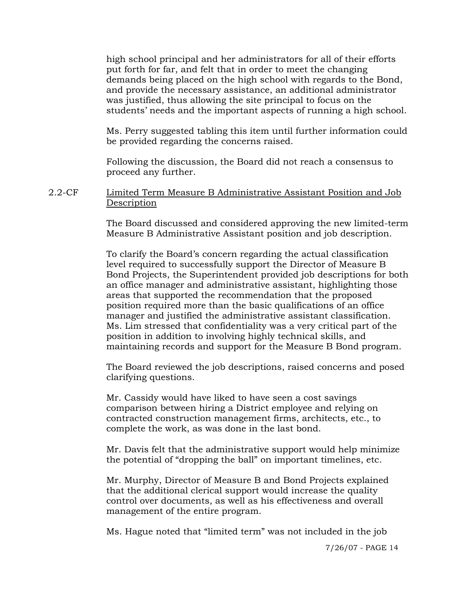high school principal and her administrators for all of their efforts put forth for far, and felt that in order to meet the changing demands being placed on the high school with regards to the Bond, and provide the necessary assistance, an additional administrator was justified, thus allowing the site principal to focus on the students' needs and the important aspects of running a high school.

Ms. Perry suggested tabling this item until further information could be provided regarding the concerns raised.

Following the discussion, the Board did not reach a consensus to proceed any further.

2.2-CF Limited Term Measure B Administrative Assistant Position and Job Description

> The Board discussed and considered approving the new limited-term Measure B Administrative Assistant position and job description.

> To clarify the Board's concern regarding the actual classification level required to successfully support the Director of Measure B Bond Projects, the Superintendent provided job descriptions for both an office manager and administrative assistant, highlighting those areas that supported the recommendation that the proposed position required more than the basic qualifications of an office manager and justified the administrative assistant classification. Ms. Lim stressed that confidentiality was a very critical part of the position in addition to involving highly technical skills, and maintaining records and support for the Measure B Bond program.

The Board reviewed the job descriptions, raised concerns and posed clarifying questions.

Mr. Cassidy would have liked to have seen a cost savings comparison between hiring a District employee and relying on contracted construction management firms, architects, etc., to complete the work, as was done in the last bond.

Mr. Davis felt that the administrative support would help minimize the potential of "dropping the ball" on important timelines, etc.

Mr. Murphy, Director of Measure B and Bond Projects explained that the additional clerical support would increase the quality control over documents, as well as his effectiveness and overall management of the entire program.

Ms. Hague noted that "limited term" was not included in the job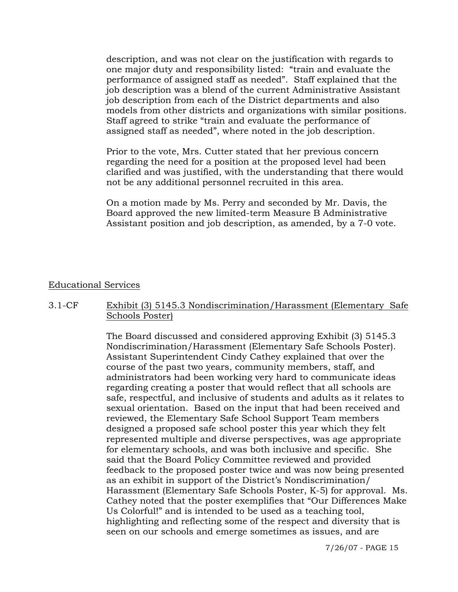description, and was not clear on the justification with regards to one major duty and responsibility listed: "train and evaluate the performance of assigned staff as needed". Staff explained that the job description was a blend of the current Administrative Assistant job description from each of the District departments and also models from other districts and organizations with similar positions. Staff agreed to strike "train and evaluate the performance of assigned staff as needed", where noted in the job description.

Prior to the vote, Mrs. Cutter stated that her previous concern regarding the need for a position at the proposed level had been clarified and was justified, with the understanding that there would not be any additional personnel recruited in this area.

On a motion made by Ms. Perry and seconded by Mr. Davis, the Board approved the new limited-term Measure B Administrative Assistant position and job description, as amended, by a 7-0 vote.

#### Educational Services

# 3.1-CF Exhibit (3) 5145.3 Nondiscrimination/Harassment (Elementary Safe Schools Poster)

The Board discussed and considered approving Exhibit (3) 5145.3 Nondiscrimination/Harassment (Elementary Safe Schools Poster). Assistant Superintendent Cindy Cathey explained that over the course of the past two years, community members, staff, and administrators had been working very hard to communicate ideas regarding creating a poster that would reflect that all schools are safe, respectful, and inclusive of students and adults as it relates to sexual orientation. Based on the input that had been received and reviewed, the Elementary Safe School Support Team members designed a proposed safe school poster this year which they felt represented multiple and diverse perspectives, was age appropriate for elementary schools, and was both inclusive and specific. She said that the Board Policy Committee reviewed and provided feedback to the proposed poster twice and was now being presented as an exhibit in support of the District's Nondiscrimination/ Harassment (Elementary Safe Schools Poster, K-5) for approval. Ms. Cathey noted that the poster exemplifies that "Our Differences Make Us Colorful!" and is intended to be used as a teaching tool, highlighting and reflecting some of the respect and diversity that is seen on our schools and emerge sometimes as issues, and are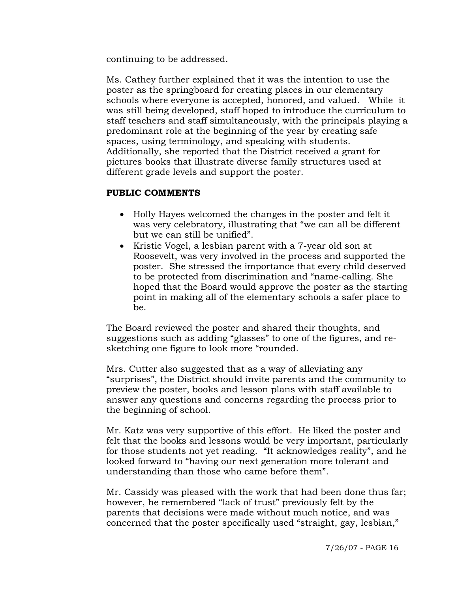continuing to be addressed.

Ms. Cathey further explained that it was the intention to use the poster as the springboard for creating places in our elementary schools where everyone is accepted, honored, and valued. While it was still being developed, staff hoped to introduce the curriculum to staff teachers and staff simultaneously, with the principals playing a predominant role at the beginning of the year by creating safe spaces, using terminology, and speaking with students. Additionally, she reported that the District received a grant for pictures books that illustrate diverse family structures used at different grade levels and support the poster.

#### **PUBLIC COMMENTS**

- Holly Hayes welcomed the changes in the poster and felt it was very celebratory, illustrating that "we can all be different but we can still be unified".
- Kristie Vogel, a lesbian parent with a 7-year old son at Roosevelt, was very involved in the process and supported the poster. She stressed the importance that every child deserved to be protected from discrimination and "name-calling. She hoped that the Board would approve the poster as the starting point in making all of the elementary schools a safer place to be.

The Board reviewed the poster and shared their thoughts, and suggestions such as adding "glasses" to one of the figures, and resketching one figure to look more "rounded.

Mrs. Cutter also suggested that as a way of alleviating any "surprises", the District should invite parents and the community to preview the poster, books and lesson plans with staff available to answer any questions and concerns regarding the process prior to the beginning of school.

Mr. Katz was very supportive of this effort. He liked the poster and felt that the books and lessons would be very important, particularly for those students not yet reading. "It acknowledges reality", and he looked forward to "having our next generation more tolerant and understanding than those who came before them".

Mr. Cassidy was pleased with the work that had been done thus far; however, he remembered "lack of trust" previously felt by the parents that decisions were made without much notice, and was concerned that the poster specifically used "straight, gay, lesbian,"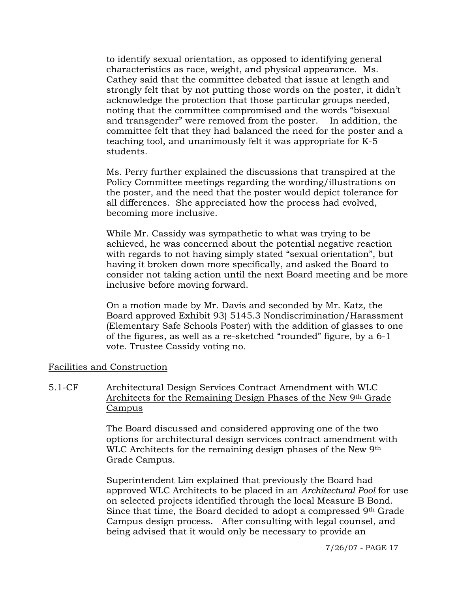to identify sexual orientation, as opposed to identifying general characteristics as race, weight, and physical appearance. Ms. Cathey said that the committee debated that issue at length and strongly felt that by not putting those words on the poster, it didn't acknowledge the protection that those particular groups needed, noting that the committee compromised and the words "bisexual and transgender" were removed from the poster. In addition, the committee felt that they had balanced the need for the poster and a teaching tool, and unanimously felt it was appropriate for K-5 students.

Ms. Perry further explained the discussions that transpired at the Policy Committee meetings regarding the wording/illustrations on the poster, and the need that the poster would depict tolerance for all differences. She appreciated how the process had evolved, becoming more inclusive.

While Mr. Cassidy was sympathetic to what was trying to be achieved, he was concerned about the potential negative reaction with regards to not having simply stated "sexual orientation", but having it broken down more specifically, and asked the Board to consider not taking action until the next Board meeting and be more inclusive before moving forward.

On a motion made by Mr. Davis and seconded by Mr. Katz, the Board approved Exhibit 93) 5145.3 Nondiscrimination/Harassment (Elementary Safe Schools Poster) with the addition of glasses to one of the figures, as well as a re-sketched "rounded" figure, by a 6-1 vote. Trustee Cassidy voting no.

# Facilities and Construction

#### 5.1-CF Architectural Design Services Contract Amendment with WLC Architects for the Remaining Design Phases of the New 9th Grade **Campus**

The Board discussed and considered approving one of the two options for architectural design services contract amendment with WLC Architects for the remaining design phases of the New 9th Grade Campus.

Superintendent Lim explained that previously the Board had approved WLC Architects to be placed in an *Architectural Pool* for use on selected projects identified through the local Measure B Bond. Since that time, the Board decided to adopt a compressed 9th Grade Campus design process. After consulting with legal counsel, and being advised that it would only be necessary to provide an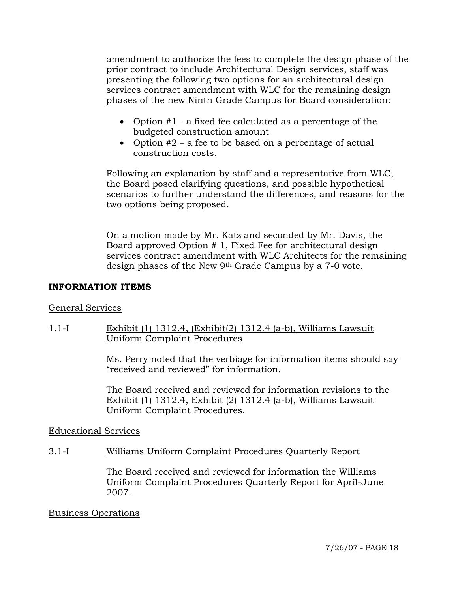amendment to authorize the fees to complete the design phase of the prior contract to include Architectural Design services, staff was presenting the following two options for an architectural design services contract amendment with WLC for the remaining design phases of the new Ninth Grade Campus for Board consideration:

- Option #1 a fixed fee calculated as a percentage of the budgeted construction amount
- Option  $#2 a$  fee to be based on a percentage of actual construction costs.

Following an explanation by staff and a representative from WLC, the Board posed clarifying questions, and possible hypothetical scenarios to further understand the differences, and reasons for the two options being proposed.

On a motion made by Mr. Katz and seconded by Mr. Davis, the Board approved Option # 1, Fixed Fee for architectural design services contract amendment with WLC Architects for the remaining design phases of the New 9th Grade Campus by a 7-0 vote.

# **INFORMATION ITEMS**

# General Services

# 1.1-I Exhibit (1) 1312.4, (Exhibit(2) 1312.4 (a-b), Williams Lawsuit Uniform Complaint Procedures

Ms. Perry noted that the verbiage for information items should say "received and reviewed" for information.

The Board received and reviewed for information revisions to the Exhibit (1) 1312.4, Exhibit (2) 1312.4 (a-b), Williams Lawsuit Uniform Complaint Procedures.

# Educational Services

# 3.1-I Williams Uniform Complaint Procedures Quarterly Report

The Board received and reviewed for information the Williams Uniform Complaint Procedures Quarterly Report for April-June 2007.

# Business Operations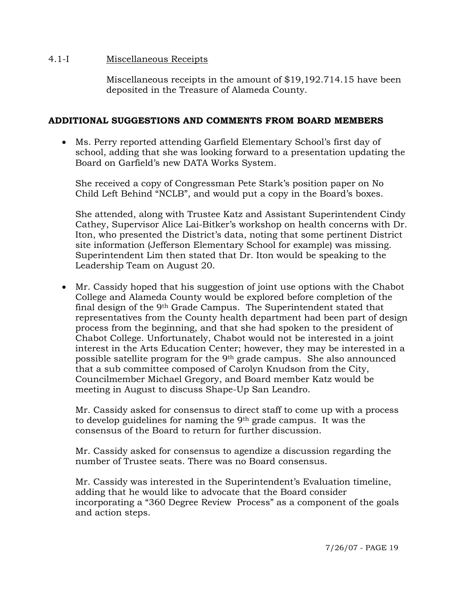#### 4.1-I Miscellaneous Receipts

Miscellaneous receipts in the amount of \$19,192.714.15 have been deposited in the Treasure of Alameda County.

# **ADDITIONAL SUGGESTIONS AND COMMENTS FROM BOARD MEMBERS**

• Ms. Perry reported attending Garfield Elementary School's first day of school, adding that she was looking forward to a presentation updating the Board on Garfield's new DATA Works System.

 She received a copy of Congressman Pete Stark's position paper on No Child Left Behind "NCLB", and would put a copy in the Board's boxes.

 She attended, along with Trustee Katz and Assistant Superintendent Cindy Cathey, Supervisor Alice Lai-Bitker's workshop on health concerns with Dr. Iton, who presented the District's data, noting that some pertinent District site information (Jefferson Elementary School for example) was missing. Superintendent Lim then stated that Dr. Iton would be speaking to the Leadership Team on August 20.

• Mr. Cassidy hoped that his suggestion of joint use options with the Chabot College and Alameda County would be explored before completion of the final design of the 9th Grade Campus. The Superintendent stated that representatives from the County health department had been part of design process from the beginning, and that she had spoken to the president of Chabot College. Unfortunately, Chabot would not be interested in a joint interest in the Arts Education Center; however, they may be interested in a possible satellite program for the 9th grade campus. She also announced that a sub committee composed of Carolyn Knudson from the City, Councilmember Michael Gregory, and Board member Katz would be meeting in August to discuss Shape-Up San Leandro.

 Mr. Cassidy asked for consensus to direct staff to come up with a process to develop guidelines for naming the 9th grade campus. It was the consensus of the Board to return for further discussion.

 Mr. Cassidy asked for consensus to agendize a discussion regarding the number of Trustee seats. There was no Board consensus.

 Mr. Cassidy was interested in the Superintendent's Evaluation timeline, adding that he would like to advocate that the Board consider incorporating a "360 Degree Review Process" as a component of the goals and action steps.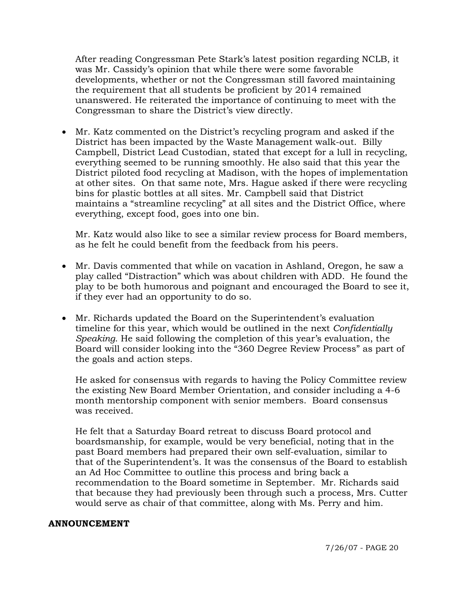After reading Congressman Pete Stark's latest position regarding NCLB, it was Mr. Cassidy's opinion that while there were some favorable developments, whether or not the Congressman still favored maintaining the requirement that all students be proficient by 2014 remained unanswered. He reiterated the importance of continuing to meet with the Congressman to share the District's view directly.

• Mr. Katz commented on the District's recycling program and asked if the District has been impacted by the Waste Management walk-out. Billy Campbell, District Lead Custodian, stated that except for a lull in recycling, everything seemed to be running smoothly. He also said that this year the District piloted food recycling at Madison, with the hopes of implementation at other sites. On that same note, Mrs. Hague asked if there were recycling bins for plastic bottles at all sites. Mr. Campbell said that District maintains a "streamline recycling" at all sites and the District Office, where everything, except food, goes into one bin.

 Mr. Katz would also like to see a similar review process for Board members, as he felt he could benefit from the feedback from his peers.

- Mr. Davis commented that while on vacation in Ashland, Oregon, he saw a play called "Distraction" which was about children with ADD. He found the play to be both humorous and poignant and encouraged the Board to see it, if they ever had an opportunity to do so.
- Mr. Richards updated the Board on the Superintendent's evaluation timeline for this year, which would be outlined in the next *Confidentially Speaking*. He said following the completion of this year's evaluation, the Board will consider looking into the "360 Degree Review Process" as part of the goals and action steps.

 He asked for consensus with regards to having the Policy Committee review the existing New Board Member Orientation, and consider including a 4-6 month mentorship component with senior members. Board consensus was received.

 He felt that a Saturday Board retreat to discuss Board protocol and boardsmanship, for example, would be very beneficial, noting that in the past Board members had prepared their own self-evaluation, similar to that of the Superintendent's. It was the consensus of the Board to establish an Ad Hoc Committee to outline this process and bring back a recommendation to the Board sometime in September. Mr. Richards said that because they had previously been through such a process, Mrs. Cutter would serve as chair of that committee, along with Ms. Perry and him.

#### **ANNOUNCEMENT**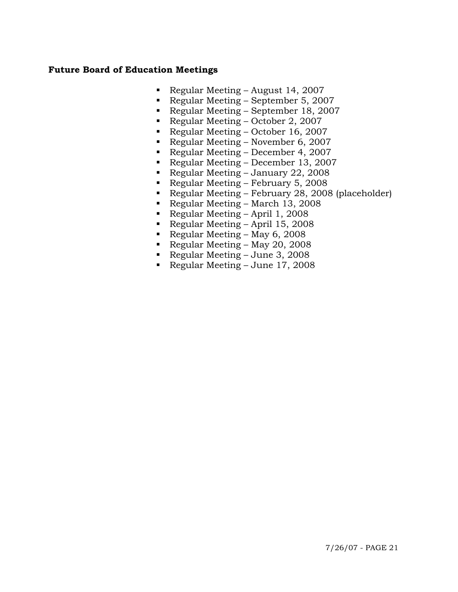#### **Future Board of Education Meetings**

- Regular Meeting August 14, 2007
- Regular Meeting September 5, 2007
- Regular Meeting September 18, 2007
- 
- Regular Meeting October 2, 2007<br>Regular Meeting October 16, 2007 Regular Meeting – October 16, 2007
- Regular Meeting November 6, 2007
- Regular Meeting December 4, 2007
- Regular Meeting December 13, 2007
- Regular Meeting January 22, 2008
- Regular Meeting February 5, 2008
- Regular Meeting February 28, 2008 (placeholder)
- Regular Meeting March 13, 2008
- Regular Meeting April 1, 2008
- Regular Meeting April 15, 2008
- Regular Meeting May 6, 2008
- Regular Meeting May 20, 2008
- Regular Meeting June 3, 2008
- Regular Meeting June 17, 2008